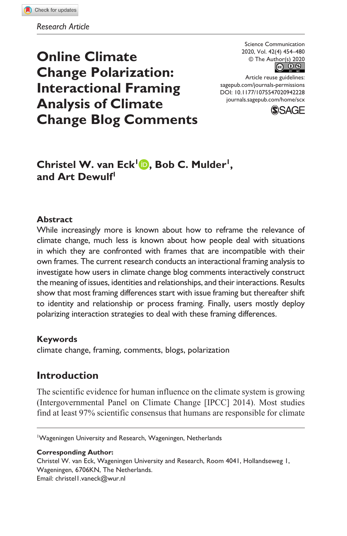**Online Climate Change Polarization: Interactional Framing Analysis of Climate Change Blog Comments**

Science Communication 2020, Vol. 42(4) 454–480 © The Author(s) 2020 <u>© 0 S </u>

DOI: 10.1177/1075547020942228 Article reuse guidelines: [sagepub.com/journals-permissions](https://us.sagepub.com/en-us/journals-permissions) [journals.sagepub.com/home/scx](https://journals.sagepub.com/home/scx)



**Christel W. van Eck<sup>1</sup> <b>D**, Bob C. Mulder<sup>1</sup>, **and Art Dewulft** 

#### **Abstract**

While increasingly more is known about how to reframe the relevance of climate change, much less is known about how people deal with situations in which they are confronted with frames that are incompatible with their own frames. The current research conducts an interactional framing analysis to investigate how users in climate change blog comments interactively construct the meaning of issues, identities and relationships, and their interactions. Results show that most framing differences start with issue framing but thereafter shift to identity and relationship or process framing. Finally, users mostly deploy polarizing interaction strategies to deal with these framing differences.

#### **Keywords**

climate change, framing, comments, blogs, polarization

# **Introduction**

The scientific evidence for human influence on the climate system is growing (Intergovernmental Panel on Climate Change [IPCC] 2014). Most studies find at least 97% scientific consensus that humans are responsible for climate

1 Wageningen University and Research, Wageningen, Netherlands

**Corresponding Author:**

Christel W. van Eck, Wageningen University and Research, Room 4041, Hollandseweg 1, Wageningen, 6706KN, The Netherlands. Email: [christel1.vaneck@wur.nl](mailto:christel1.vaneck@wur.nl)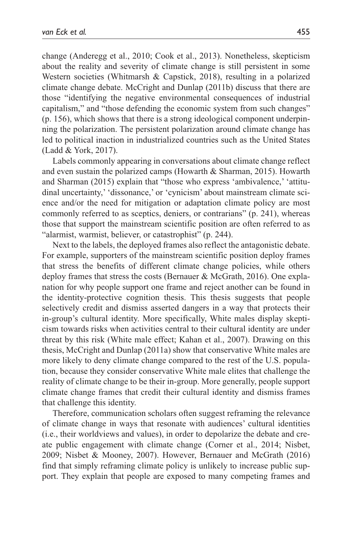change (Anderegg et al., 2010; Cook et al., 2013). Nonetheless, skepticism about the reality and severity of climate change is still persistent in some Western societies (Whitmarsh & Capstick, 2018), resulting in a polarized climate change debate. McCright and Dunlap (2011b) discuss that there are those "identifying the negative environmental consequences of industrial capitalism," and "those defending the economic system from such changes" (p. 156), which shows that there is a strong ideological component underpinning the polarization. The persistent polarization around climate change has led to political inaction in industrialized countries such as the United States (Ladd & York, 2017).

Labels commonly appearing in conversations about climate change reflect and even sustain the polarized camps (Howarth & Sharman, 2015). Howarth and Sharman (2015) explain that "those who express 'ambivalence,' 'attitudinal uncertainty,' 'dissonance,' or 'cynicism' about mainstream climate science and/or the need for mitigation or adaptation climate policy are most commonly referred to as sceptics, deniers, or contrarians" (p. 241), whereas those that support the mainstream scientific position are often referred to as "alarmist, warmist, believer, or catastrophist" (p. 244).

Next to the labels, the deployed frames also reflect the antagonistic debate. For example, supporters of the mainstream scientific position deploy frames that stress the benefits of different climate change policies, while others deploy frames that stress the costs (Bernauer & McGrath, 2016). One explanation for why people support one frame and reject another can be found in the identity-protective cognition thesis. This thesis suggests that people selectively credit and dismiss asserted dangers in a way that protects their in-group's cultural identity. More specifically, White males display skepticism towards risks when activities central to their cultural identity are under threat by this risk (White male effect; Kahan et al., 2007). Drawing on this thesis, McCright and Dunlap (2011a) show that conservative White males are more likely to deny climate change compared to the rest of the U.S. population, because they consider conservative White male elites that challenge the reality of climate change to be their in-group. More generally, people support climate change frames that credit their cultural identity and dismiss frames that challenge this identity.

Therefore, communication scholars often suggest reframing the relevance of climate change in ways that resonate with audiences' cultural identities (i.e., their worldviews and values), in order to depolarize the debate and create public engagement with climate change (Corner et al., 2014; Nisbet, 2009; Nisbet & Mooney, 2007). However, Bernauer and McGrath (2016) find that simply reframing climate policy is unlikely to increase public support. They explain that people are exposed to many competing frames and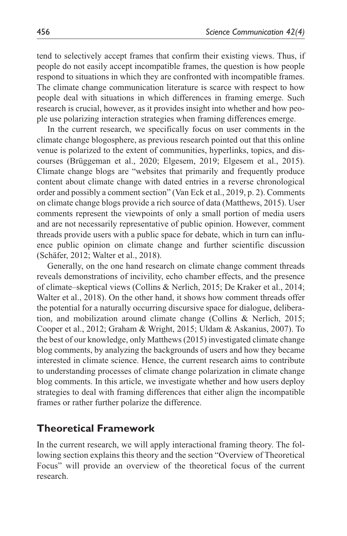tend to selectively accept frames that confirm their existing views. Thus, if people do not easily accept incompatible frames, the question is how people respond to situations in which they are confronted with incompatible frames. The climate change communication literature is scarce with respect to how people deal with situations in which differences in framing emerge. Such research is crucial, however, as it provides insight into whether and how people use polarizing interaction strategies when framing differences emerge.

In the current research, we specifically focus on user comments in the climate change blogosphere, as previous research pointed out that this online venue is polarized to the extent of communities, hyperlinks, topics, and discourses (Brüggeman et al., 2020; Elgesem, 2019; Elgesem et al., 2015). Climate change blogs are "websites that primarily and frequently produce content about climate change with dated entries in a reverse chronological order and possibly a comment section" (Van Eck et al., 2019, p. 2). Comments on climate change blogs provide a rich source of data (Matthews, 2015). User comments represent the viewpoints of only a small portion of media users and are not necessarily representative of public opinion. However, comment threads provide users with a public space for debate, which in turn can influence public opinion on climate change and further scientific discussion (Schäfer, 2012; Walter et al., 2018).

Generally, on the one hand research on climate change comment threads reveals demonstrations of incivility, echo chamber effects, and the presence of climate–skeptical views (Collins & Nerlich, 2015; De Kraker et al., 2014; Walter et al., 2018). On the other hand, it shows how comment threads offer the potential for a naturally occurring discursive space for dialogue, deliberation, and mobilization around climate change (Collins & Nerlich, 2015; Cooper et al., 2012; Graham & Wright, 2015; Uldam & Askanius, 2007). To the best of our knowledge, only Matthews (2015) investigated climate change blog comments, by analyzing the backgrounds of users and how they became interested in climate science. Hence, the current research aims to contribute to understanding processes of climate change polarization in climate change blog comments. In this article, we investigate whether and how users deploy strategies to deal with framing differences that either align the incompatible frames or rather further polarize the difference.

# **Theoretical Framework**

In the current research, we will apply interactional framing theory. The following section explains this theory and the section "Overview of Theoretical Focus" will provide an overview of the theoretical focus of the current research.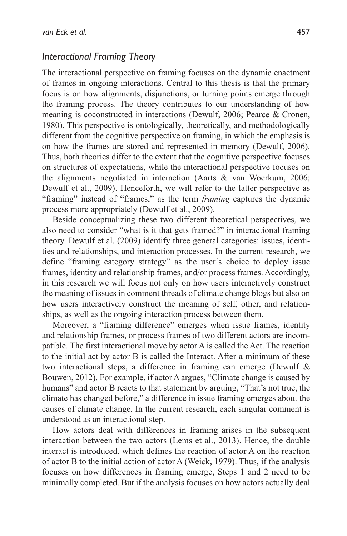# *Interactional Framing Theory*

The interactional perspective on framing focuses on the dynamic enactment of frames in ongoing interactions. Central to this thesis is that the primary focus is on how alignments, disjunctions, or turning points emerge through the framing process. The theory contributes to our understanding of how meaning is coconstructed in interactions (Dewulf, 2006; Pearce & Cronen, 1980). This perspective is ontologically, theoretically, and methodologically different from the cognitive perspective on framing, in which the emphasis is on how the frames are stored and represented in memory (Dewulf, 2006). Thus, both theories differ to the extent that the cognitive perspective focuses on structures of expectations, while the interactional perspective focuses on the alignments negotiated in interaction (Aarts & van Woerkum, 2006; Dewulf et al., 2009). Henceforth, we will refer to the latter perspective as "framing" instead of "frames," as the term *framing* captures the dynamic process more appropriately (Dewulf et al., 2009).

Beside conceptualizing these two different theoretical perspectives, we also need to consider "what is it that gets framed?" in interactional framing theory. Dewulf et al. (2009) identify three general categories: issues, identities and relationships, and interaction processes. In the current research, we define "framing category strategy" as the user's choice to deploy issue frames, identity and relationship frames, and/or process frames. Accordingly, in this research we will focus not only on how users interactively construct the meaning of issues in comment threads of climate change blogs but also on how users interactively construct the meaning of self, other, and relationships, as well as the ongoing interaction process between them.

Moreover, a "framing difference" emerges when issue frames, identity and relationship frames, or process frames of two different actors are incompatible. The first interactional move by actor A is called the Act. The reaction to the initial act by actor B is called the Interact. After a minimum of these two interactional steps, a difference in framing can emerge (Dewulf & Bouwen, 2012). For example, if actor A argues, "Climate change is caused by humans" and actor B reacts to that statement by arguing, "That's not true, the climate has changed before," a difference in issue framing emerges about the causes of climate change. In the current research, each singular comment is understood as an interactional step.

How actors deal with differences in framing arises in the subsequent interaction between the two actors (Lems et al., 2013). Hence, the double interact is introduced, which defines the reaction of actor A on the reaction of actor B to the initial action of actor A (Weick, 1979). Thus, if the analysis focuses on how differences in framing emerge, Steps 1 and 2 need to be minimally completed. But if the analysis focuses on how actors actually deal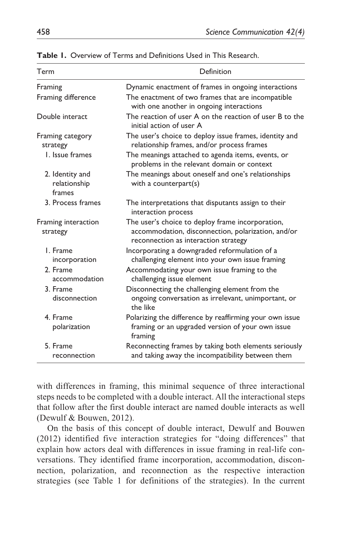| Term                                      | Definition                                                                                                                                     |
|-------------------------------------------|------------------------------------------------------------------------------------------------------------------------------------------------|
| Framing                                   | Dynamic enactment of frames in ongoing interactions                                                                                            |
| Framing difference                        | The enactment of two frames that are incompatible<br>with one another in ongoing interactions                                                  |
| Double interact                           | The reaction of user A on the reaction of user B to the<br>initial action of user A                                                            |
| Framing category<br>strategy              | The user's choice to deploy issue frames, identity and<br>relationship frames, and/or process frames                                           |
| I. Issue frames                           | The meanings attached to agenda items, events, or<br>problems in the relevant domain or context                                                |
| 2. Identity and<br>relationship<br>frames | The meanings about oneself and one's relationships<br>with a counterpart(s)                                                                    |
| 3. Process frames                         | The interpretations that disputants assign to their<br>interaction process                                                                     |
| Framing interaction<br>strategy           | The user's choice to deploy frame incorporation,<br>accommodation, disconnection, polarization, and/or<br>reconnection as interaction strategy |
| L. Frame<br>incorporation                 | Incorporating a downgraded reformulation of a<br>challenging element into your own issue framing                                               |
| 2 Frame<br>accommodation                  | Accommodating your own issue framing to the<br>challenging issue element                                                                       |
| 3. Frame<br>disconnection                 | Disconnecting the challenging element from the<br>ongoing conversation as irrelevant, unimportant, or<br>the like                              |
| 4. Frame<br>polarization                  | Polarizing the difference by reaffirming your own issue<br>framing or an upgraded version of your own issue<br>framing                         |
| 5. Frame<br>reconnection                  | Reconnecting frames by taking both elements seriously<br>and taking away the incompatibility between them                                      |

**Table 1.** Overview of Terms and Definitions Used in This Research.

with differences in framing, this minimal sequence of three interactional steps needs to be completed with a double interact. All the interactional steps that follow after the first double interact are named double interacts as well (Dewulf & Bouwen, 2012).

On the basis of this concept of double interact, Dewulf and Bouwen (2012) identified five interaction strategies for "doing differences" that explain how actors deal with differences in issue framing in real-life conversations. They identified frame incorporation, accommodation, disconnection, polarization, and reconnection as the respective interaction strategies (see Table 1 for definitions of the strategies). In the current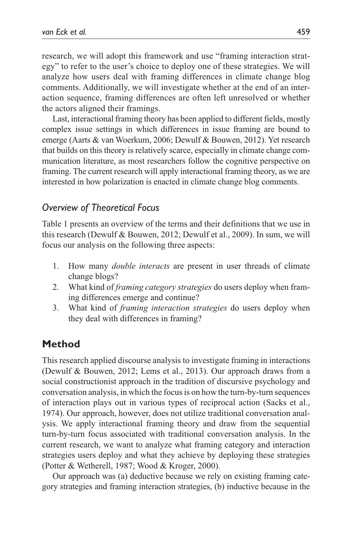research, we will adopt this framework and use "framing interaction strategy" to refer to the user's choice to deploy one of these strategies. We will analyze how users deal with framing differences in climate change blog comments. Additionally, we will investigate whether at the end of an interaction sequence, framing differences are often left unresolved or whether the actors aligned their framings.

Last, interactional framing theory has been applied to different fields, mostly complex issue settings in which differences in issue framing are bound to emerge (Aarts & van Woerkum, 2006; Dewulf & Bouwen, 2012). Yet research that builds on this theory is relatively scarce, especially in climate change communication literature, as most researchers follow the cognitive perspective on framing. The current research will apply interactional framing theory, as we are interested in how polarization is enacted in climate change blog comments.

### *Overview of Theoretical Focus*

Table 1 presents an overview of the terms and their definitions that we use in this research (Dewulf & Bouwen, 2012; Dewulf et al., 2009). In sum, we will focus our analysis on the following three aspects:

- 1. How many *double interacts* are present in user threads of climate change blogs?
- 2. What kind of *framing category strategies* do users deploy when framing differences emerge and continue?
- 3. What kind of *framing interaction strategies* do users deploy when they deal with differences in framing?

# **Method**

This research applied discourse analysis to investigate framing in interactions (Dewulf & Bouwen, 2012; Lems et al., 2013). Our approach draws from a social constructionist approach in the tradition of discursive psychology and conversation analysis, in which the focus is on how the turn-by-turn sequences of interaction plays out in various types of reciprocal action (Sacks et al., 1974). Our approach, however, does not utilize traditional conversation analysis. We apply interactional framing theory and draw from the sequential turn-by-turn focus associated with traditional conversation analysis. In the current research, we want to analyze what framing category and interaction strategies users deploy and what they achieve by deploying these strategies (Potter & Wetherell, 1987; Wood & Kroger, 2000).

Our approach was (a) deductive because we rely on existing framing category strategies and framing interaction strategies, (b) inductive because in the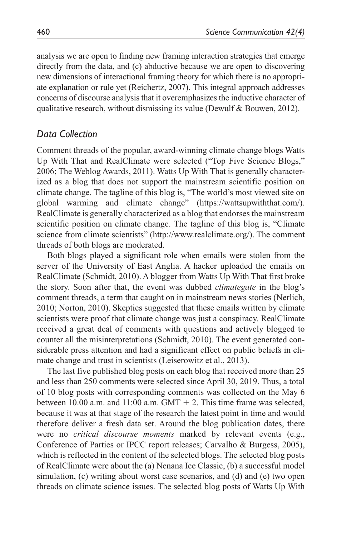analysis we are open to finding new framing interaction strategies that emerge directly from the data, and (c) abductive because we are open to discovering new dimensions of interactional framing theory for which there is no appropriate explanation or rule yet (Reichertz, 2007). This integral approach addresses concerns of discourse analysis that it overemphasizes the inductive character of qualitative research, without dismissing its value (Dewulf & Bouwen, 2012).

# *Data Collection*

Comment threads of the popular, award-winning climate change blogs Watts Up With That and RealClimate were selected ("Top Five Science Blogs," 2006; The Weblog Awards, 2011). Watts Up With That is generally characterized as a blog that does not support the mainstream scientific position on climate change. The tagline of this blog is, "The world's most viewed site on global warming and climate change" (<https://wattsupwiththat.com/>). RealClimate is generally characterized as a blog that endorses the mainstream scientific position on climate change. The tagline of this blog is, "Climate science from climate scientists" [\(http://www.realclimate.org/\)](http://www.realclimate.org/). The comment threads of both blogs are moderated.

Both blogs played a significant role when emails were stolen from the server of the University of East Anglia. A hacker uploaded the emails on RealClimate (Schmidt, 2010). A blogger from Watts Up With That first broke the story. Soon after that, the event was dubbed *climategate* in the blog's comment threads, a term that caught on in mainstream news stories (Nerlich, 2010; Norton, 2010). Skeptics suggested that these emails written by climate scientists were proof that climate change was just a conspiracy. RealClimate received a great deal of comments with questions and actively blogged to counter all the misinterpretations (Schmidt, 2010). The event generated considerable press attention and had a significant effect on public beliefs in climate change and trust in scientists (Leiserowitz et al., 2013).

The last five published blog posts on each blog that received more than 25 and less than 250 comments were selected since April 30, 2019. Thus, a total of 10 blog posts with corresponding comments was collected on the May 6 between 10.00 a.m. and 11:00 a.m. GMT  $+$  2. This time frame was selected, because it was at that stage of the research the latest point in time and would therefore deliver a fresh data set. Around the blog publication dates, there were no *critical discourse moments* marked by relevant events (e.g., Conference of Parties or IPCC report releases; Carvalho & Burgess, 2005), which is reflected in the content of the selected blogs. The selected blog posts of RealClimate were about the (a) Nenana Ice Classic, (b) a successful model simulation, (c) writing about worst case scenarios, and (d) and (e) two open threads on climate science issues. The selected blog posts of Watts Up With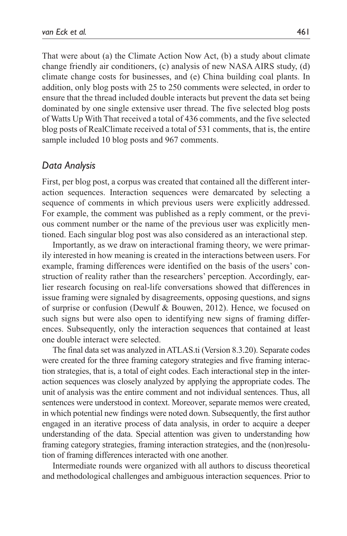That were about (a) the Climate Action Now Act, (b) a study about climate change friendly air conditioners, (c) analysis of new NASA AIRS study, (d) climate change costs for businesses, and (e) China building coal plants. In addition, only blog posts with 25 to 250 comments were selected, in order to ensure that the thread included double interacts but prevent the data set being dominated by one single extensive user thread. The five selected blog posts of Watts Up With That received a total of 436 comments, and the five selected blog posts of RealClimate received a total of 531 comments, that is, the entire sample included 10 blog posts and 967 comments.

## *Data Analysis*

First, per blog post, a corpus was created that contained all the different interaction sequences. Interaction sequences were demarcated by selecting a sequence of comments in which previous users were explicitly addressed. For example, the comment was published as a reply comment, or the previous comment number or the name of the previous user was explicitly mentioned. Each singular blog post was also considered as an interactional step.

Importantly, as we draw on interactional framing theory, we were primarily interested in how meaning is created in the interactions between users. For example, framing differences were identified on the basis of the users' construction of reality rather than the researchers' perception. Accordingly, earlier research focusing on real-life conversations showed that differences in issue framing were signaled by disagreements, opposing questions, and signs of surprise or confusion (Dewulf & Bouwen, 2012). Hence, we focused on such signs but were also open to identifying new signs of framing differences. Subsequently, only the interaction sequences that contained at least one double interact were selected.

The final data set was analyzed in ATLAS.ti (Version 8.3.20). Separate codes were created for the three framing category strategies and five framing interaction strategies, that is, a total of eight codes. Each interactional step in the interaction sequences was closely analyzed by applying the appropriate codes. The unit of analysis was the entire comment and not individual sentences. Thus, all sentences were understood in context. Moreover, separate memos were created, in which potential new findings were noted down. Subsequently, the first author engaged in an iterative process of data analysis, in order to acquire a deeper understanding of the data. Special attention was given to understanding how framing category strategies, framing interaction strategies, and the (non)resolution of framing differences interacted with one another.

Intermediate rounds were organized with all authors to discuss theoretical and methodological challenges and ambiguous interaction sequences. Prior to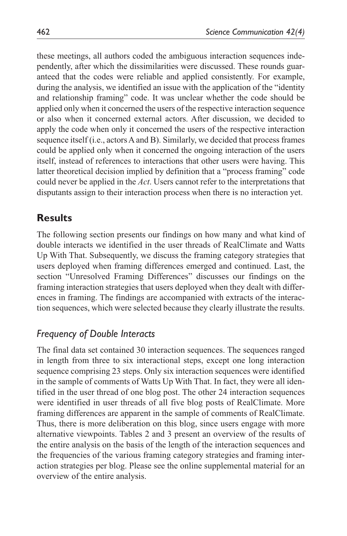these meetings, all authors coded the ambiguous interaction sequences independently, after which the dissimilarities were discussed. These rounds guaranteed that the codes were reliable and applied consistently. For example, during the analysis, we identified an issue with the application of the "identity and relationship framing" code. It was unclear whether the code should be applied only when it concerned the users of the respective interaction sequence or also when it concerned external actors. After discussion, we decided to apply the code when only it concerned the users of the respective interaction sequence itself (i.e., actors A and B). Similarly, we decided that process frames could be applied only when it concerned the ongoing interaction of the users itself, instead of references to interactions that other users were having. This latter theoretical decision implied by definition that a "process framing" code could never be applied in the *Act*. Users cannot refer to the interpretations that disputants assign to their interaction process when there is no interaction yet.

# **Results**

The following section presents our findings on how many and what kind of double interacts we identified in the user threads of RealClimate and Watts Up With That. Subsequently, we discuss the framing category strategies that users deployed when framing differences emerged and continued. Last, the section "Unresolved Framing Differences" discusses our findings on the framing interaction strategies that users deployed when they dealt with differences in framing. The findings are accompanied with extracts of the interaction sequences, which were selected because they clearly illustrate the results.

# *Frequency of Double Interacts*

The final data set contained 30 interaction sequences. The sequences ranged in length from three to six interactional steps, except one long interaction sequence comprising 23 steps. Only six interaction sequences were identified in the sample of comments of Watts Up With That. In fact, they were all identified in the user thread of one blog post. The other 24 interaction sequences were identified in user threads of all five blog posts of RealClimate. More framing differences are apparent in the sample of comments of RealClimate. Thus, there is more deliberation on this blog, since users engage with more alternative viewpoints. Tables 2 and 3 present an overview of the results of the entire analysis on the basis of the length of the interaction sequences and the frequencies of the various framing category strategies and framing interaction strategies per blog. Please see the online supplemental material for an overview of the entire analysis.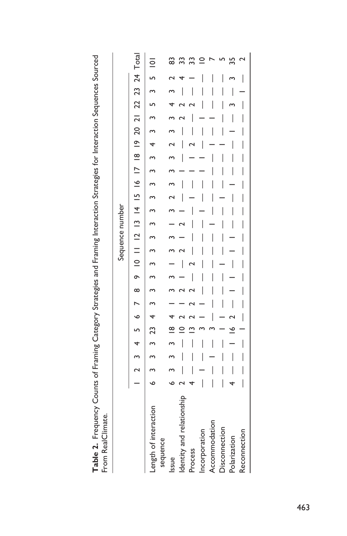| i<br>ľ                 |             |
|------------------------|-------------|
|                        |             |
| ï                      |             |
|                        |             |
|                        |             |
|                        |             |
| ļ                      |             |
|                        |             |
| Ć                      |             |
|                        |             |
| Ī<br>I                 |             |
|                        |             |
| ŀ                      |             |
| Ĩ                      |             |
|                        |             |
| l                      |             |
| ı                      |             |
|                        |             |
| l                      |             |
|                        |             |
|                        |             |
| l<br>$\mathbf{c}$<br>ı |             |
| ć                      |             |
| I                      | i<br>ł<br>I |

|                                   |   |                          |                          |                          |                                       |   |  |   | Sequence number |   |   |   |   |   |   |   |                          |                          |               |                                                                 |
|-----------------------------------|---|--------------------------|--------------------------|--------------------------|---------------------------------------|---|--|---|-----------------|---|---|---|---|---|---|---|--------------------------|--------------------------|---------------|-----------------------------------------------------------------|
|                                   |   |                          |                          |                          |                                       |   |  |   |                 |   |   |   |   |   |   |   |                          |                          |               | 2 3 4 5 6 7 8 9 10 11 12 13 14 15 16 17 18 19 20 21 22 24 13 14 |
| Length of interaction<br>sequence |   |                          |                          |                          | 3 3 3 2 3 4 3 3 3 3 3 3 3 3 4 3 5 5 3 |   |  |   |                 |   |   |   |   |   |   |   |                          |                          | $5 \quad 101$ |                                                                 |
| Issue                             |   |                          |                          |                          |                                       |   |  |   |                 |   |   |   |   |   |   |   |                          |                          |               |                                                                 |
| Identity and relationship         |   |                          |                          |                          |                                       |   |  |   |                 |   |   |   |   |   |   |   |                          |                          |               |                                                                 |
| Process                           |   |                          | I                        | $\overline{\phantom{a}}$ |                                       |   |  |   |                 |   |   | I |   |   |   |   |                          |                          |               |                                                                 |
| Incorporation                     | I |                          | $\overline{\phantom{a}}$ | I                        |                                       |   |  |   |                 |   | l | I |   |   | I |   | $\overline{\phantom{a}}$ |                          |               |                                                                 |
| Accommodation                     |   |                          |                          | ١                        |                                       |   |  |   |                 |   |   |   |   |   | I |   |                          |                          |               |                                                                 |
| Disconnection                     |   |                          |                          | I                        |                                       | I |  |   |                 |   |   |   |   |   |   |   |                          |                          |               |                                                                 |
| Polarization                      |   | $\overline{\phantom{a}}$ | $\overline{\phantom{a}}$ |                          |                                       | ۱ |  | ۱ |                 | I |   |   | I | I |   | I |                          | $\overline{\phantom{a}}$ |               |                                                                 |
| Reconnection                      |   |                          |                          | ۱                        |                                       |   |  |   |                 |   |   |   |   |   |   |   |                          |                          |               |                                                                 |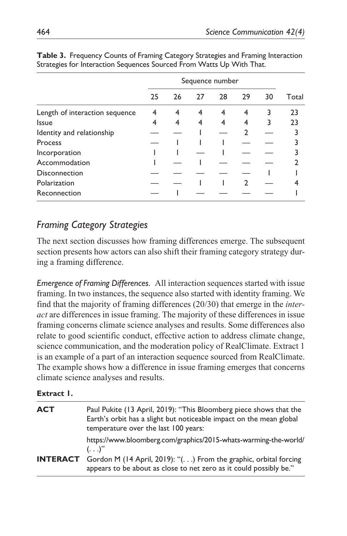|                                |    |    | Sequence number |    |    |    |       |
|--------------------------------|----|----|-----------------|----|----|----|-------|
|                                | 25 | 26 | 27              | 28 | 29 | 30 | Total |
| Length of interaction sequence |    |    | 4               | 4  | 4  | 3  | 23    |
| <b>Issue</b>                   |    |    | 4               | 4  | 4  | 3  | 23    |
| Identity and relationship      |    |    |                 |    | っ  |    |       |
| Process                        |    |    |                 |    |    |    |       |
| Incorporation                  |    |    |                 |    |    |    |       |
| Accommodation                  |    |    |                 |    |    |    |       |
| Disconnection                  |    |    |                 |    |    |    |       |
| Polarization                   |    |    |                 |    |    |    |       |
| Reconnection                   |    |    |                 |    |    |    |       |

**Table 3.** Frequency Counts of Framing Category Strategies and Framing Interaction Strategies for Interaction Sequences Sourced From Watts Up With That.

# *Framing Category Strategies*

The next section discusses how framing differences emerge. The subsequent section presents how actors can also shift their framing category strategy during a framing difference.

*Emergence of Framing Differences.* All interaction sequences started with issue framing. In two instances, the sequence also started with identity framing. We find that the majority of framing differences (20/30) that emerge in the *interact* are differences in issue framing. The majority of these differences in issue framing concerns climate science analyses and results. Some differences also relate to good scientific conduct, effective action to address climate change, science communication, and the moderation policy of RealClimate. Extract 1 is an example of a part of an interaction sequence sourced from RealClimate. The example shows how a difference in issue framing emerges that concerns climate science analyses and results.

### **Extract 1.**

| <b>ACT</b> | Paul Pukite (13 April, 2019): "This Bloomberg piece shows that the<br>Earth's orbit has a slight but noticeable impact on the mean global<br>temperature over the last 100 years: |
|------------|-----------------------------------------------------------------------------------------------------------------------------------------------------------------------------------|
|            | https://www.bloomberg.com/graphics/2015-whats-warming-the-world/<br>$(0.1)^{11}$                                                                                                  |
|            | <b>INTERACT</b> Gordon M (14 April, 2019): " $( \ldots )$ From the graphic, orbital forcing<br>appears to be about as close to net zero as it could possibly be."                 |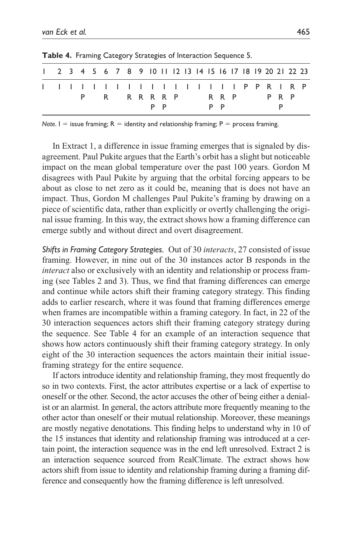| 1 2 3 4 5 6 7 8 9 10 11 12 13 14 15 16 17 18 19 20 21 22 23 |  |  |  |                          |  |  |     |  |  |  |  |
|-------------------------------------------------------------|--|--|--|--------------------------|--|--|-----|--|--|--|--|
| I I I I I I I I I I I I I I I I I P P R I R P               |  |  |  | P R RRRRP RRP PRP<br>P P |  |  | P P |  |  |  |  |

**Table 4.** Framing Category Strategies of Interaction Sequence 5.

*Note*.  $I =$  issue framing;  $R =$  identity and relationship framing;  $P =$  process framing.

In Extract 1, a difference in issue framing emerges that is signaled by disagreement. Paul Pukite argues that the Earth's orbit has a slight but noticeable impact on the mean global temperature over the past 100 years. Gordon M disagrees with Paul Pukite by arguing that the orbital forcing appears to be about as close to net zero as it could be, meaning that is does not have an impact. Thus, Gordon M challenges Paul Pukite's framing by drawing on a piece of scientific data, rather than explicitly or overtly challenging the original issue framing. In this way, the extract shows how a framing difference can emerge subtly and without direct and overt disagreement.

*Shifts in Framing Category Strategies.* Out of 30 *interacts*, 27 consisted of issue framing. However, in nine out of the 30 instances actor B responds in the *interact* also or exclusively with an identity and relationship or process framing (see Tables 2 and 3). Thus, we find that framing differences can emerge and continue while actors shift their framing category strategy. This finding adds to earlier research, where it was found that framing differences emerge when frames are incompatible within a framing category. In fact, in 22 of the 30 interaction sequences actors shift their framing category strategy during the sequence. See Table 4 for an example of an interaction sequence that shows how actors continuously shift their framing category strategy. In only eight of the 30 interaction sequences the actors maintain their initial issueframing strategy for the entire sequence.

If actors introduce identity and relationship framing, they most frequently do so in two contexts. First, the actor attributes expertise or a lack of expertise to oneself or the other. Second, the actor accuses the other of being either a denialist or an alarmist. In general, the actors attribute more frequently meaning to the other actor than oneself or their mutual relationship. Moreover, these meanings are mostly negative denotations. This finding helps to understand why in 10 of the 15 instances that identity and relationship framing was introduced at a certain point, the interaction sequence was in the end left unresolved. Extract 2 is an interaction sequence sourced from RealClimate. The extract shows how actors shift from issue to identity and relationship framing during a framing difference and consequently how the framing difference is left unresolved.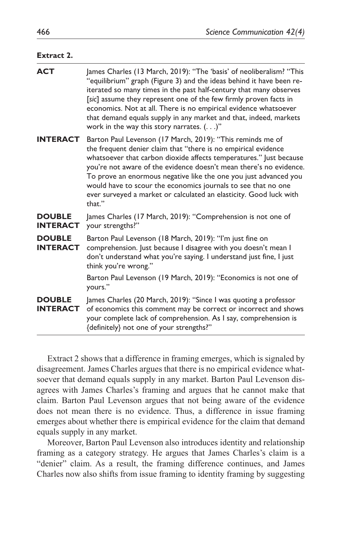#### **Extract 2.**

| <b>ACT</b>                       | James Charles (13 March, 2019): "The 'basis' of neoliberalism? "This<br>"equilibrium" graph (Figure 3) and the ideas behind it have been re-<br>iterated so many times in the past half-century that many observes<br>[sic] assume they represent one of the few firmly proven facts in<br>economics. Not at all. There is no empirical evidence whatsoever<br>that demand equals supply in any market and that, indeed, markets<br>work in the way this story narrates. $( \ldots )''$       |
|----------------------------------|-----------------------------------------------------------------------------------------------------------------------------------------------------------------------------------------------------------------------------------------------------------------------------------------------------------------------------------------------------------------------------------------------------------------------------------------------------------------------------------------------|
| <b>INTERACT</b>                  | Barton Paul Levenson (17 March, 2019): "This reminds me of<br>the frequent denier claim that "there is no empirical evidence<br>whatsoever that carbon dioxide affects temperatures." Just because<br>you're not aware of the evidence doesn't mean there's no evidence.<br>To prove an enormous negative like the one you just advanced you<br>would have to scour the economics journals to see that no one<br>ever surveyed a market or calculated an elasticity. Good luck with<br>that." |
| <b>DOUBLE</b><br><b>INTERACT</b> | James Charles (17 March, 2019): "Comprehension is not one of<br>your strengths?"                                                                                                                                                                                                                                                                                                                                                                                                              |
| <b>DOUBLE</b><br><b>INTERACT</b> | Barton Paul Levenson (18 March, 2019): "I'm just fine on<br>comprehension. Just because I disagree with you doesn't mean I<br>don't understand what you're saying. I understand just fine, I just<br>think you're wrong."<br>Barton Paul Levenson (19 March, 2019): "Economics is not one of                                                                                                                                                                                                  |
| <b>DOUBLE</b><br><b>INTERACT</b> | yours."<br>James Charles (20 March, 2019): "Since I was quoting a professor<br>of economics this comment may be correct or incorrect and shows<br>your complete lack of comprehension. As I say, comprehension is<br>{definitely} not one of your strengths?"                                                                                                                                                                                                                                 |

Extract 2 shows that a difference in framing emerges, which is signaled by disagreement. James Charles argues that there is no empirical evidence whatsoever that demand equals supply in any market. Barton Paul Levenson disagrees with James Charles's framing and argues that he cannot make that claim. Barton Paul Levenson argues that not being aware of the evidence does not mean there is no evidence. Thus, a difference in issue framing emerges about whether there is empirical evidence for the claim that demand equals supply in any market.

Moreover, Barton Paul Levenson also introduces identity and relationship framing as a category strategy. He argues that James Charles's claim is a "denier" claim. As a result, the framing difference continues, and James Charles now also shifts from issue framing to identity framing by suggesting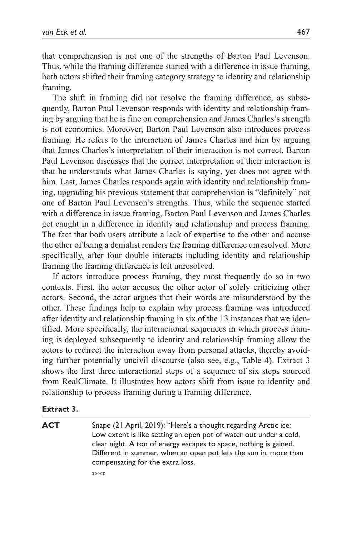that comprehension is not one of the strengths of Barton Paul Levenson. Thus, while the framing difference started with a difference in issue framing, both actors shifted their framing category strategy to identity and relationship framing.

The shift in framing did not resolve the framing difference, as subsequently, Barton Paul Levenson responds with identity and relationship framing by arguing that he is fine on comprehension and James Charles's strength is not economics. Moreover, Barton Paul Levenson also introduces process framing. He refers to the interaction of James Charles and him by arguing that James Charles's interpretation of their interaction is not correct. Barton Paul Levenson discusses that the correct interpretation of their interaction is that he understands what James Charles is saying, yet does not agree with him. Last, James Charles responds again with identity and relationship framing, upgrading his previous statement that comprehension is "definitely" not one of Barton Paul Levenson's strengths. Thus, while the sequence started with a difference in issue framing, Barton Paul Levenson and James Charles get caught in a difference in identity and relationship and process framing. The fact that both users attribute a lack of expertise to the other and accuse the other of being a denialist renders the framing difference unresolved. More specifically, after four double interacts including identity and relationship framing the framing difference is left unresolved.

If actors introduce process framing, they most frequently do so in two contexts. First, the actor accuses the other actor of solely criticizing other actors. Second, the actor argues that their words are misunderstood by the other. These findings help to explain why process framing was introduced after identity and relationship framing in six of the 13 instances that we identified. More specifically, the interactional sequences in which process framing is deployed subsequently to identity and relationship framing allow the actors to redirect the interaction away from personal attacks, thereby avoiding further potentially uncivil discourse (also see, e.g., Table 4). Extract 3 shows the first three interactional steps of a sequence of six steps sourced from RealClimate. It illustrates how actors shift from issue to identity and relationship to process framing during a framing difference.

#### **Extract 3.**

**ACT** Snape (21 April, 2019): "Here's a thought regarding Arctic ice: Low extent is like setting an open pot of water out under a cold, clear night. A ton of energy escapes to space, nothing is gained. Different in summer, when an open pot lets the sun in, more than compensating for the extra loss. \*\*\*\*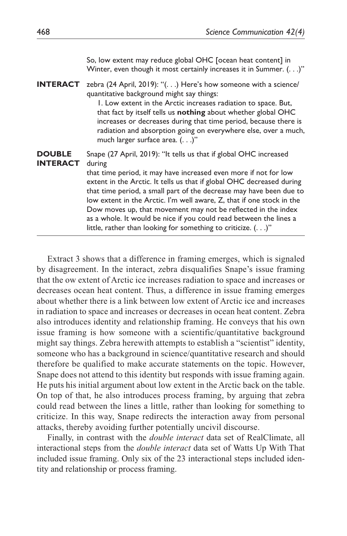So, low extent may reduce global OHC [ocean heat content] in Winter, even though it most certainly increases it in Summer. (. . .)"

**INTERACT** zebra (24 April, 2019): "(...) Here's how someone with a science/ quantitative background might say things: 1. Low extent in the Arctic increases radiation to space. But, that fact by itself tells us **nothing** about whether global OHC

increases or decreases during that time period, because there is radiation and absorption going on everywhere else, over a much, much larger surface area. (. . .)"

| Snape (27 April, 2019): "It tells us that if global OHC increased     |
|-----------------------------------------------------------------------|
|                                                                       |
| that time period, it may have increased even more if not for low      |
| extent in the Arctic. It tells us that if global OHC decreased during |
| that time period, a small part of the decrease may have been due to   |
| low extent in the Arctic. I'm well aware, Z, that if one stock in the |
| Dow moves up, that movement may not be reflected in the index         |
| as a whole. It would be nice if you could read between the lines a    |
|                                                                       |
|                                                                       |

Extract 3 shows that a difference in framing emerges, which is signaled by disagreement. In the interact, zebra disqualifies Snape's issue framing that the ow extent of Arctic ice increases radiation to space and increases or decreases ocean heat content. Thus, a difference in issue framing emerges about whether there is a link between low extent of Arctic ice and increases in radiation to space and increases or decreases in ocean heat content. Zebra also introduces identity and relationship framing. He conveys that his own issue framing is how someone with a scientific/quantitative background might say things. Zebra herewith attempts to establish a "scientist" identity, someone who has a background in science/quantitative research and should therefore be qualified to make accurate statements on the topic. However, Snape does not attend to this identity but responds with issue framing again. He puts his initial argument about low extent in the Arctic back on the table. On top of that, he also introduces process framing, by arguing that zebra could read between the lines a little, rather than looking for something to criticize. In this way, Snape redirects the interaction away from personal attacks, thereby avoiding further potentially uncivil discourse.

Finally, in contrast with the *double interact* data set of RealClimate, all interactional steps from the *double interact* data set of Watts Up With That included issue framing. Only six of the 23 interactional steps included identity and relationship or process framing.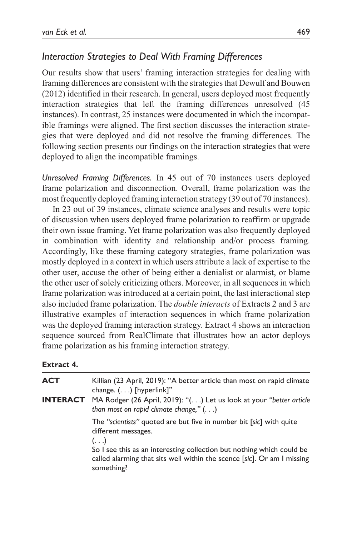# *Interaction Strategies to Deal With Framing Differences*

Our results show that users' framing interaction strategies for dealing with framing differences are consistent with the strategies that Dewulf and Bouwen (2012) identified in their research. In general, users deployed most frequently interaction strategies that left the framing differences unresolved (45 instances). In contrast, 25 instances were documented in which the incompatible framings were aligned. The first section discusses the interaction strategies that were deployed and did not resolve the framing differences. The following section presents our findings on the interaction strategies that were deployed to align the incompatible framings.

*Unresolved Framing Differences.* In 45 out of 70 instances users deployed frame polarization and disconnection. Overall, frame polarization was the most frequently deployed framing interaction strategy (39 out of 70 instances).

In 23 out of 39 instances, climate science analyses and results were topic of discussion when users deployed frame polarization to reaffirm or upgrade their own issue framing. Yet frame polarization was also frequently deployed in combination with identity and relationship and/or process framing. Accordingly, like these framing category strategies, frame polarization was mostly deployed in a context in which users attribute a lack of expertise to the other user, accuse the other of being either a denialist or alarmist, or blame the other user of solely criticizing others. Moreover, in all sequences in which frame polarization was introduced at a certain point, the last interactional step also included frame polarization. The *double interacts* of Extracts 2 and 3 are illustrative examples of interaction sequences in which frame polarization was the deployed framing interaction strategy. Extract 4 shows an interaction sequence sourced from RealClimate that illustrates how an actor deploys frame polarization as his framing interaction strategy.

#### **Extract 4.**

| <b>ACT</b> | Killian (23 April, 2019): "A better article than most on rapid climate<br>change. $( \ldots )$ [hyperlink]"                                                    |
|------------|----------------------------------------------------------------------------------------------------------------------------------------------------------------|
|            | <b>INTERACT</b> MA Rodger (26 April, 2019): "() Let us look at your "better article<br>than most on rapid climate change," $( \ldots )$                        |
|            | The "scientists" quoted are but five in number bit [sic] with quite<br>different messages.<br>$(\ldots)$                                                       |
|            | So I see this as an interesting collection but nothing which could be<br>called alarming that sits well within the scence [sic]. Or am I missing<br>something? |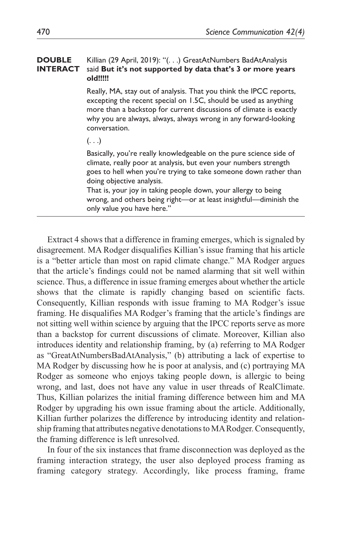#### **DOUBLE INTERACT** Killian (29 April, 2019): "(. . .) GreatAtNumbers BadAtAnalysis said **But it's not supported by data that's 3 or more years old!!!!!**

Really, MA, stay out of analysis. That you think the IPCC reports, excepting the recent special on 1.5C, should be used as anything more than a backstop for current discussions of climate is exactly why you are always, always, always wrong in any forward-looking conversation.

 $(\ldots)$ 

Basically, you're really knowledgeable on the pure science side of climate, really poor at analysis, but even your numbers strength goes to hell when you're trying to take someone down rather than doing objective analysis.

That is, your joy in taking people down, your allergy to being wrong, and others being right—or at least insightful—diminish the only value you have here."

Extract 4 shows that a difference in framing emerges, which is signaled by disagreement. MA Rodger disqualifies Killian's issue framing that his article is a "better article than most on rapid climate change." MA Rodger argues that the article's findings could not be named alarming that sit well within science. Thus, a difference in issue framing emerges about whether the article shows that the climate is rapidly changing based on scientific facts. Consequently, Killian responds with issue framing to MA Rodger's issue framing. He disqualifies MA Rodger's framing that the article's findings are not sitting well within science by arguing that the IPCC reports serve as more than a backstop for current discussions of climate. Moreover, Killian also introduces identity and relationship framing, by (a) referring to MA Rodger as "GreatAtNumbersBadAtAnalysis," (b) attributing a lack of expertise to MA Rodger by discussing how he is poor at analysis, and (c) portraying MA Rodger as someone who enjoys taking people down, is allergic to being wrong, and last, does not have any value in user threads of RealClimate. Thus, Killian polarizes the initial framing difference between him and MA Rodger by upgrading his own issue framing about the article. Additionally, Killian further polarizes the difference by introducing identity and relationship framing that attributes negative denotations to MA Rodger. Consequently, the framing difference is left unresolved.

In four of the six instances that frame disconnection was deployed as the framing interaction strategy, the user also deployed process framing as framing category strategy. Accordingly, like process framing, frame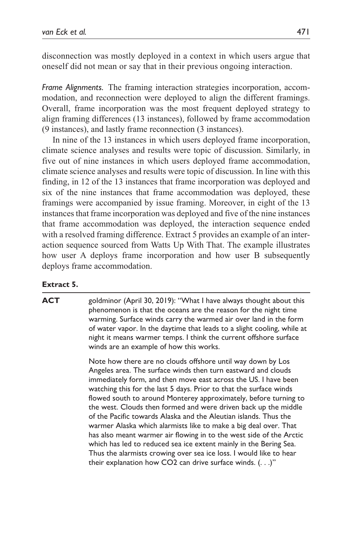disconnection was mostly deployed in a context in which users argue that oneself did not mean or say that in their previous ongoing interaction.

*Frame Alignments.* The framing interaction strategies incorporation, accommodation, and reconnection were deployed to align the different framings. Overall, frame incorporation was the most frequent deployed strategy to align framing differences (13 instances), followed by frame accommodation (9 instances), and lastly frame reconnection (3 instances).

In nine of the 13 instances in which users deployed frame incorporation, climate science analyses and results were topic of discussion. Similarly, in five out of nine instances in which users deployed frame accommodation, climate science analyses and results were topic of discussion. In line with this finding, in 12 of the 13 instances that frame incorporation was deployed and six of the nine instances that frame accommodation was deployed, these framings were accompanied by issue framing. Moreover, in eight of the 13 instances that frame incorporation was deployed and five of the nine instances that frame accommodation was deployed, the interaction sequence ended with a resolved framing difference. Extract 5 provides an example of an interaction sequence sourced from Watts Up With That. The example illustrates how user A deploys frame incorporation and how user B subsequently deploys frame accommodation.

#### **Extract 5.**

**ACT** goldminor (April 30, 2019): "What I have always thought about this phenomenon is that the oceans are the reason for the night time warming. Surface winds carry the warmed air over land in the form of water vapor. In the daytime that leads to a slight cooling, while at night it means warmer temps. I think the current offshore surface winds are an example of how this works.

> Note how there are no clouds offshore until way down by Los Angeles area. The surface winds then turn eastward and clouds immediately form, and then move east across the US. I have been watching this for the last 5 days. Prior to that the surface winds flowed south to around Monterey approximately, before turning to the west. Clouds then formed and were driven back up the middle of the Pacific towards Alaska and the Aleutian islands. Thus the warmer Alaska which alarmists like to make a big deal over. That has also meant warmer air flowing in to the west side of the Arctic which has led to reduced sea ice extent mainly in the Bering Sea. Thus the alarmists crowing over sea ice loss. I would like to hear their explanation how CO2 can drive surface winds. (. . .)"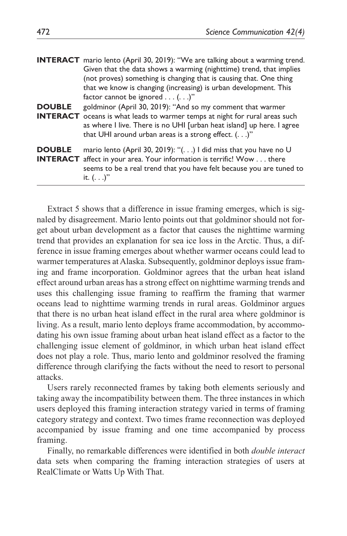|                                  | <b>INTERACT</b> mario lento (April 30, 2019): "We are talking about a warming trend.<br>Given that the data shows a warming (nighttime) trend, that implies<br>(not proves) something is changing that is causing that. One thing<br>that we know is changing (increasing) is urban development. This<br>factor cannot be ignored $\dots$ $(\dots)$ " |
|----------------------------------|-------------------------------------------------------------------------------------------------------------------------------------------------------------------------------------------------------------------------------------------------------------------------------------------------------------------------------------------------------|
| <b>DOUBLE</b><br><b>INTERACT</b> | goldminor (April 30, 2019): "And so my comment that warmer<br>oceans is what leads to warmer temps at night for rural areas such<br>as where I live. There is no UHI [urban heat island] up here. I agree<br>that UHI around urban areas is a strong effect. ()"                                                                                      |
| <b>DOUBLE</b><br><b>INTERACT</b> | mario lento (April 30, 2019): "() I did miss that you have no U<br>affect in your area. Your information is terrific! Wow there<br>seems to be a real trend that you have felt because you are tuned to<br>it. $( \ldots )^{\prime\prime}$                                                                                                            |

Extract 5 shows that a difference in issue framing emerges, which is signaled by disagreement. Mario lento points out that goldminor should not forget about urban development as a factor that causes the nighttime warming trend that provides an explanation for sea ice loss in the Arctic. Thus, a difference in issue framing emerges about whether warmer oceans could lead to warmer temperatures at Alaska. Subsequently, goldminor deploys issue framing and frame incorporation. Goldminor agrees that the urban heat island effect around urban areas has a strong effect on nighttime warming trends and uses this challenging issue framing to reaffirm the framing that warmer oceans lead to nighttime warming trends in rural areas. Goldminor argues that there is no urban heat island effect in the rural area where goldminor is living. As a result, mario lento deploys frame accommodation, by accommodating his own issue framing about urban heat island effect as a factor to the challenging issue element of goldminor, in which urban heat island effect does not play a role. Thus, mario lento and goldminor resolved the framing difference through clarifying the facts without the need to resort to personal attacks.

Users rarely reconnected frames by taking both elements seriously and taking away the incompatibility between them. The three instances in which users deployed this framing interaction strategy varied in terms of framing category strategy and context. Two times frame reconnection was deployed accompanied by issue framing and one time accompanied by process framing.

Finally, no remarkable differences were identified in both *double interact* data sets when comparing the framing interaction strategies of users at RealClimate or Watts Up With That.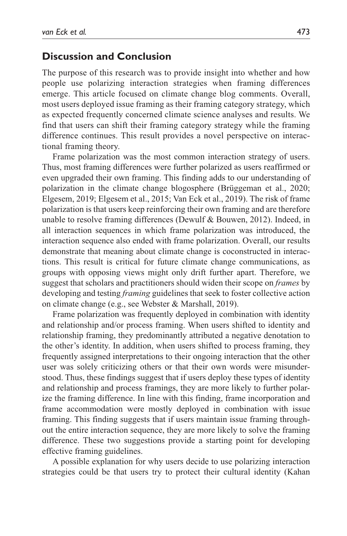# **Discussion and Conclusion**

The purpose of this research was to provide insight into whether and how people use polarizing interaction strategies when framing differences emerge. This article focused on climate change blog comments. Overall, most users deployed issue framing as their framing category strategy, which as expected frequently concerned climate science analyses and results. We find that users can shift their framing category strategy while the framing difference continues. This result provides a novel perspective on interactional framing theory.

Frame polarization was the most common interaction strategy of users. Thus, most framing differences were further polarized as users reaffirmed or even upgraded their own framing. This finding adds to our understanding of polarization in the climate change blogosphere (Brüggeman et al., 2020; Elgesem, 2019; Elgesem et al., 2015; Van Eck et al., 2019). The risk of frame polarization is that users keep reinforcing their own framing and are therefore unable to resolve framing differences (Dewulf & Bouwen, 2012). Indeed, in all interaction sequences in which frame polarization was introduced, the interaction sequence also ended with frame polarization. Overall, our results demonstrate that meaning about climate change is coconstructed in interactions. This result is critical for future climate change communications, as groups with opposing views might only drift further apart. Therefore, we suggest that scholars and practitioners should widen their scope on *frames* by developing and testing *framing* guidelines that seek to foster collective action on climate change (e.g., see Webster & Marshall, 2019).

Frame polarization was frequently deployed in combination with identity and relationship and/or process framing. When users shifted to identity and relationship framing, they predominantly attributed a negative denotation to the other's identity. In addition, when users shifted to process framing, they frequently assigned interpretations to their ongoing interaction that the other user was solely criticizing others or that their own words were misunderstood. Thus, these findings suggest that if users deploy these types of identity and relationship and process framings, they are more likely to further polarize the framing difference. In line with this finding, frame incorporation and frame accommodation were mostly deployed in combination with issue framing. This finding suggests that if users maintain issue framing throughout the entire interaction sequence, they are more likely to solve the framing difference. These two suggestions provide a starting point for developing effective framing guidelines.

A possible explanation for why users decide to use polarizing interaction strategies could be that users try to protect their cultural identity (Kahan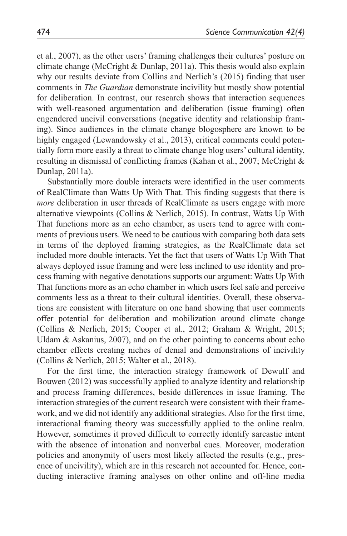et al., 2007), as the other users' framing challenges their cultures' posture on climate change (McCright & Dunlap, 2011a). This thesis would also explain why our results deviate from Collins and Nerlich's (2015) finding that user comments in *The Guardian* demonstrate incivility but mostly show potential for deliberation. In contrast, our research shows that interaction sequences with well-reasoned argumentation and deliberation (issue framing) often engendered uncivil conversations (negative identity and relationship framing). Since audiences in the climate change blogosphere are known to be highly engaged (Lewandowsky et al., 2013), critical comments could potentially form more easily a threat to climate change blog users' cultural identity, resulting in dismissal of conflicting frames (Kahan et al., 2007; McCright & Dunlap, 2011a).

Substantially more double interacts were identified in the user comments of RealClimate than Watts Up With That. This finding suggests that there is *more* deliberation in user threads of RealClimate as users engage with more alternative viewpoints (Collins & Nerlich, 2015). In contrast, Watts Up With That functions more as an echo chamber, as users tend to agree with comments of previous users. We need to be cautious with comparing both data sets in terms of the deployed framing strategies, as the RealClimate data set included more double interacts. Yet the fact that users of Watts Up With That always deployed issue framing and were less inclined to use identity and process framing with negative denotations supports our argument: Watts Up With That functions more as an echo chamber in which users feel safe and perceive comments less as a threat to their cultural identities. Overall, these observations are consistent with literature on one hand showing that user comments offer potential for deliberation and mobilization around climate change (Collins & Nerlich, 2015; Cooper et al., 2012; Graham & Wright, 2015; Uldam & Askanius, 2007), and on the other pointing to concerns about echo chamber effects creating niches of denial and demonstrations of incivility (Collins & Nerlich, 2015; Walter et al., 2018).

For the first time, the interaction strategy framework of Dewulf and Bouwen (2012) was successfully applied to analyze identity and relationship and process framing differences, beside differences in issue framing. The interaction strategies of the current research were consistent with their framework, and we did not identify any additional strategies. Also for the first time, interactional framing theory was successfully applied to the online realm. However, sometimes it proved difficult to correctly identify sarcastic intent with the absence of intonation and nonverbal cues. Moreover, moderation policies and anonymity of users most likely affected the results (e.g., presence of uncivility), which are in this research not accounted for. Hence, conducting interactive framing analyses on other online and off-line media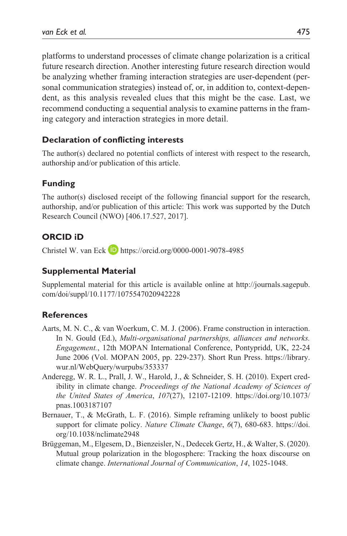platforms to understand processes of climate change polarization is a critical future research direction. Another interesting future research direction would be analyzing whether framing interaction strategies are user-dependent (personal communication strategies) instead of, or, in addition to, context-dependent, as this analysis revealed clues that this might be the case. Last, we recommend conducting a sequential analysis to examine patterns in the framing category and interaction strategies in more detail.

### **Declaration of conflicting interests**

The author(s) declared no potential conflicts of interest with respect to the research, authorship and/or publication of this article.

### **Funding**

The author(s) disclosed receipt of the following financial support for the research, authorship, and/or publication of this article: This work was supported by the Dutch Research Council (NWO) [406.17.527, 2017].

# **ORCID iD**

Christel W. van Eck D <https://orcid.org/0000-0001-9078-4985>

### **Supplemental Material**

Supplemental material for this article is available online at [http://journals.sagepub.](http://journals.sagepub.com/doi/suppl/10.1177/1075547020942228) [com/doi/suppl/10.1177/1075547020942228](http://journals.sagepub.com/doi/suppl/10.1177/1075547020942228)

### **References**

- Aarts, M. N. C., & van Woerkum, C. M. J. (2006). Frame construction in interaction. In N. Gould (Ed.), *Multi-organisational partnerships, alliances and networks. Engagement.*, 12th MOPAN International Conference, Pontypridd, UK, 22-24 June 2006 (Vol. MOPAN 2005, pp. 229-237). Short Run Press. [https://library.](https://library.wur.nl/WebQuery/wurpubs/353337) [wur.nl/WebQuery/wurpubs/353337](https://library.wur.nl/WebQuery/wurpubs/353337)
- Anderegg, W. R. L., Prall, J. W., Harold, J., & Schneider, S. H. (2010). Expert credibility in climate change. *Proceedings of the National Academy of Sciences of the United States of America*, *107*(27), 12107-12109. [https://doi.org/10.1073/](https://doi.org/10.1073/pnas.1003187107) [pnas.1003187107](https://doi.org/10.1073/pnas.1003187107)
- Bernauer, T., & McGrath, L. F. (2016). Simple reframing unlikely to boost public support for climate policy. *Nature Climate Change*, *6*(7), 680-683. [https://doi.](https://doi.org/10.1038/nclimate2948) [org/10.1038/nclimate2948](https://doi.org/10.1038/nclimate2948)
- Brüggeman, M., Elgesem, D., Bienzeisler, N., Dedecek Gertz, H., & Walter, S. (2020). Mutual group polarization in the blogosphere: Tracking the hoax discourse on climate change. *International Journal of Communication*, *14*, 1025-1048.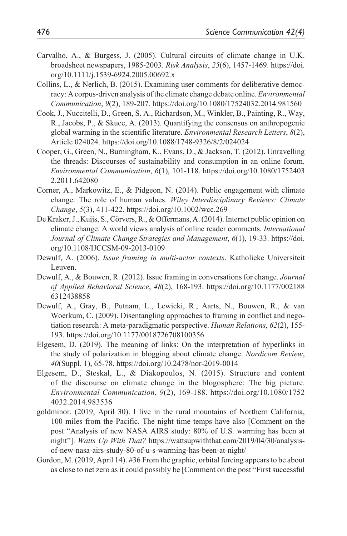- Carvalho, A., & Burgess, J. (2005). Cultural circuits of climate change in U.K. broadsheet newspapers, 1985-2003. *Risk Analysis*, *25*(6), 1457-1469. [https://doi.](https://doi.org/10.1111/j.1539-6924.2005.00692.x) [org/10.1111/j.1539-6924.2005.00692.x](https://doi.org/10.1111/j.1539-6924.2005.00692.x)
- Collins, L., & Nerlich, B. (2015). Examining user comments for deliberative democracy: A corpus-driven analysis of the climate change debate online. *Environmental Communication*, *9*(2), 189-207. <https://doi.org/10.1080/17524032.2014.981560>
- Cook, J., Nuccitelli, D., Green, S. A., Richardson, M., Winkler, B., Painting, R., Way, R., Jacobs, P., & Skuce, A. (2013). Quantifying the consensus on anthropogenic global warming in the scientific literature. *Environmental Research Letters*, *8*(2), Article 024024. <https://doi.org/10.1088/1748-9326/8/2/024024>
- Cooper, G., Green, N., Burningham, K., Evans, D., & Jackson, T. (2012). Unravelling the threads: Discourses of sustainability and consumption in an online forum. *Environmental Communication*, *6*(1), 101-118. [https://doi.org/10.1080/1752403](https://doi.org/10.1080/17524032.2011.642080) [2.2011.642080](https://doi.org/10.1080/17524032.2011.642080)
- Corner, A., Markowitz, E., & Pidgeon, N. (2014). Public engagement with climate change: The role of human values. *Wiley Interdisciplinary Reviews: Climate Change*, *5*(3), 411-422.<https://doi.org/10.1002/wcc.269>
- De Kraker, J., Kuijs, S., Cörvers, R., & Offermans, A. (2014). Internet public opinion on climate change: A world views analysis of online reader comments. *International Journal of Climate Change Strategies and Management*, *6*(1), 19-33. [https://doi.](https://doi.org/10.1108/IJCCSM-09-2013-0109) [org/10.1108/IJCCSM-09-2013-0109](https://doi.org/10.1108/IJCCSM-09-2013-0109)
- Dewulf, A. (2006). *Issue framing in multi-actor contexts*. Katholieke Universiteit Leuven.
- Dewulf, A., & Bouwen, R. (2012). Issue framing in conversations for change. *Journal of Applied Behavioral Science*, *48*(2), 168-193. [https://doi.org/10.1177/002188](https://doi.org/10.1177/0021886312438858) [6312438858](https://doi.org/10.1177/0021886312438858)
- Dewulf, A., Gray, B., Putnam, L., Lewicki, R., Aarts, N., Bouwen, R., & van Woerkum, C. (2009). Disentangling approaches to framing in conflict and negotiation research: A meta-paradigmatic perspective. *Human Relations*, *62*(2), 155- 193.<https://doi.org/10.1177/0018726708100356>
- Elgesem, D. (2019). The meaning of links: On the interpretation of hyperlinks in the study of polarization in blogging about climate change. *Nordicom Review*, *40*(Suppl. 1), 65-78. <https://doi.org/10.2478/nor-2019-0014>
- Elgesem, D., Steskal, L., & Diakopoulos, N. (2015). Structure and content of the discourse on climate change in the blogosphere: The big picture. *Environmental Communication*, *9*(2), 169-188. [https://doi.org/10.1080/1752](https://doi.org/10.1080/17524032.2014.983536) [4032.2014.983536](https://doi.org/10.1080/17524032.2014.983536)
- goldminor. (2019, April 30). I live in the rural mountains of Northern California, 100 miles from the Pacific. The night time temps have also [Comment on the post "Analysis of new NASA AIRS study: 80% of U.S. warming has been at night"]. *Watts Up With That?* [https://wattsupwiththat.com/2019/04/30/analysis](https://wattsupwiththat.com/2019/04/30/analysis-of-new-nasa-airs-study-80-of-u-s-warming-has-been-at-night/)[of-new-nasa-airs-study-80-of-u-s-warming-has-been-at-night/](https://wattsupwiththat.com/2019/04/30/analysis-of-new-nasa-airs-study-80-of-u-s-warming-has-been-at-night/)
- Gordon, M. (2019, April 14). #36 From the graphic, orbital forcing appears to be about as close to net zero as it could possibly be [Comment on the post "First successful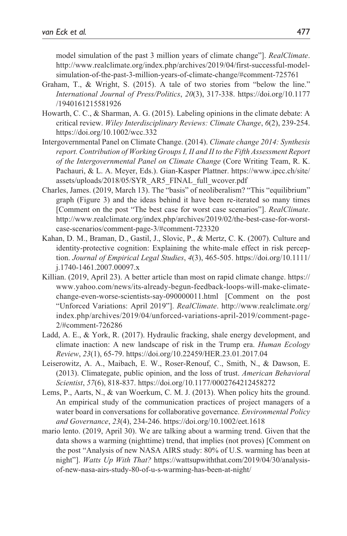model simulation of the past 3 million years of climate change"]. *RealClimate*. [http://www.realclimate.org/index.php/archives/2019/04/first-successful-model](http://www.realclimate.org/index.php/archives/2019/04/first-successful-model-simulation-of-the-past-3-million-years-of-climate-change/#comment-725761)[simulation-of-the-past-3-million-years-of-climate-change/#comment-725761](http://www.realclimate.org/index.php/archives/2019/04/first-successful-model-simulation-of-the-past-3-million-years-of-climate-change/#comment-725761)

- Graham, T., & Wright, S. (2015). A tale of two stories from "below the line." *International Journal of Press/Politics*, *20*(3), 317-338. [https://doi.org/10.1177](https://doi.org/10.1177/1940161215581926) [/1940161215581926](https://doi.org/10.1177/1940161215581926)
- Howarth, C. C., & Sharman, A. G. (2015). Labeling opinions in the climate debate: A critical review. *Wiley Interdisciplinary Reviews: Climate Change*, *6*(2), 239-254. <https://doi.org/10.1002/wcc.332>
- Intergovernmental Panel on Climate Change. (2014). *Climate change 2014: Synthesis report. Contribution of Working Groups I, II and II to the Fifth Assessment Report of the Intergovernmental Panel on Climate Change* (Core Writing Team, R. K. Pachauri, & L. A. Meyer, Eds.). Gian-Kasper Plattner. [https://www.ipcc.ch/site/](https://www.ipcc.ch/site/assets/uploads/2018/05/SYR_AR5_FINAL_full_wcover.pdf) [assets/uploads/2018/05/SYR\\_AR5\\_FINAL\\_full\\_wcover.pdf](https://www.ipcc.ch/site/assets/uploads/2018/05/SYR_AR5_FINAL_full_wcover.pdf)
- Charles, James. (2019, March 13). The "basis" of neoliberalism? "This "equilibrium" graph (Figure 3) and the ideas behind it have been re-iterated so many times [Comment on the post "The best case for worst case scenarios"]. *RealClimate*. [http://www.realclimate.org/index.php/archives/2019/02/the-best-case-for-worst](http://www.realclimate.org/index.php/archives/2019/02/the-best-case-for-worst-case-scenarios/comment-page-3/#comment-723320)[case-scenarios/comment-page-3/#comment-723320](http://www.realclimate.org/index.php/archives/2019/02/the-best-case-for-worst-case-scenarios/comment-page-3/#comment-723320)
- Kahan, D. M., Braman, D., Gastil, J., Slovic, P., & Mertz, C. K. (2007). Culture and identity-protective cognition: Explaining the white-male effect in risk perception. *Journal of Empirical Legal Studies*, *4*(3), 465-505. [https://doi.org/10.1111/](https://doi.org/10.1111/j.1740-1461.2007.00097.x) [j.1740-1461.2007.00097.x](https://doi.org/10.1111/j.1740-1461.2007.00097.x)
- Killian. (2019, April 23). A better article than most on rapid climate change. [https://](https://www.yahoo.com/news/its-already-begun-feedback-loops-will-make-climate-change-even-worse-scientists-say-090000011.html) [www.yahoo.com/news/its-already-begun-feedback-loops-will-make-climate](https://www.yahoo.com/news/its-already-begun-feedback-loops-will-make-climate-change-even-worse-scientists-say-090000011.html)[change-even-worse-scientists-say-090000011.html](https://www.yahoo.com/news/its-already-begun-feedback-loops-will-make-climate-change-even-worse-scientists-say-090000011.html) [Comment on the post "Unforced Variations: April 2019"]. *RealClimate*. [http://www.realclimate.org/](http://www.realclimate.org/index.php/archives/2019/04/unforced-variations-april-2019/comment-page-2/#comment-726286) [index.php/archives/2019/04/unforced-variations-april-2019/comment-page-](http://www.realclimate.org/index.php/archives/2019/04/unforced-variations-april-2019/comment-page-2/#comment-726286)[2/#comment-726286](http://www.realclimate.org/index.php/archives/2019/04/unforced-variations-april-2019/comment-page-2/#comment-726286)
- Ladd, A. E., & York, R. (2017). Hydraulic fracking, shale energy development, and climate inaction: A new landscape of risk in the Trump era. *Human Ecology Review*, *23*(1), 65-79. <https://doi.org/10.22459/HER.23.01.2017.04>
- Leiserowitz, A. A., Maibach, E. W., Roser-Renouf, C., Smith, N., & Dawson, E. (2013). Climategate, public opinion, and the loss of trust. *American Behavioral Scientist*, *57*(6), 818-837.<https://doi.org/10.1177/0002764212458272>
- Lems, P., Aarts, N., & van Woerkum, C. M. J. (2013). When policy hits the ground. An empirical study of the communication practices of project managers of a water board in conversations for collaborative governance. *Environmental Policy and Governance*, *23*(4), 234-246. <https://doi.org/10.1002/eet.1618>
- mario lento. (2019, April 30). We are talking about a warming trend. Given that the data shows a warming (nighttime) trend, that implies (not proves) [Comment on the post "Analysis of new NASA AIRS study: 80% of U.S. warming has been at night"]. *Watts Up With That?* [https://wattsupwiththat.com/2019/04/30/analysis](https://wattsupwiththat.com/2019/04/30/analysis-of-new-nasa-airs-study-80-of-u-s-warming-has-been-at-night/)[of-new-nasa-airs-study-80-of-u-s-warming-has-been-at-night/](https://wattsupwiththat.com/2019/04/30/analysis-of-new-nasa-airs-study-80-of-u-s-warming-has-been-at-night/)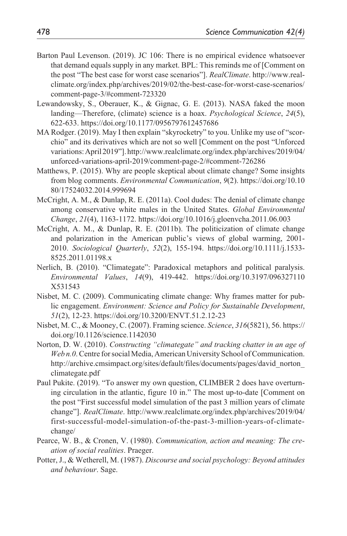- Barton Paul Levenson. (2019). JC 106: There is no empirical evidence whatsoever that demand equals supply in any market. BPL: This reminds me of [Comment on the post "The best case for worst case scenarios"]. *RealClimate*. [http://www.real](http://www.realclimate.org/index.php/archives/2019/02/the-best-case-for-worst-case-scenarios/comment-page-3/#comment-723320)[climate.org/index.php/archives/2019/02/the-best-case-for-worst-case-scenarios/](http://www.realclimate.org/index.php/archives/2019/02/the-best-case-for-worst-case-scenarios/comment-page-3/#comment-723320) [comment-page-3/#comment-723320](http://www.realclimate.org/index.php/archives/2019/02/the-best-case-for-worst-case-scenarios/comment-page-3/#comment-723320)
- Lewandowsky, S., Oberauer, K., & Gignac, G. E. (2013). NASA faked the moon landing—Therefore, (climate) science is a hoax. *Psychological Science*, *24*(5), 622-633.<https://doi.org/10.1177/0956797612457686>
- MA Rodger. (2019). May I then explain "skyrocketry" to you. Unlike my use of "scorchio" and its derivatives which are not so well [Comment on the post "Unforced variations: April 2019"]. [http://www.realclimate.org/index.php/archives/2019/04/](http://www.realclimate.org/index.php/archives/2019/04/unforced-variations-april-2019/comment-page-2/#comment-726286) [unforced-variations-april-2019/comment-page-2/#comment-726286](http://www.realclimate.org/index.php/archives/2019/04/unforced-variations-april-2019/comment-page-2/#comment-726286)
- Matthews, P. (2015). Why are people skeptical about climate change? Some insights from blog comments. *Environmental Communication*, *9*(2). [https://doi.org/10.10](https://doi.org/10.1080/17524032.2014.999694) [80/17524032.2014.999694](https://doi.org/10.1080/17524032.2014.999694)
- McCright, A. M., & Dunlap, R. E. (2011a). Cool dudes: The denial of climate change among conservative white males in the United States. *Global Environmental Change*, *21*(4), 1163-1172. <https://doi.org/10.1016/j.gloenvcha.2011.06.003>
- McCright, A. M., & Dunlap, R. E. (2011b). The politicization of climate change and polarization in the American public's views of global warming, 2001- 2010. *Sociological Quarterly*, *52*(2), 155-194. [https://doi.org/10.1111/j.1533-](https://doi.org/10.1111/j.1533-8525.2011.01198.x) [8525.2011.01198.x](https://doi.org/10.1111/j.1533-8525.2011.01198.x)
- Nerlich, B. (2010). "Climategate": Paradoxical metaphors and political paralysis. *Environmental Values*, *14*(9), 419-442. [https://doi.org/10.3197/096327110](https://doi.org/10.3197/096327110X531543) [X531543](https://doi.org/10.3197/096327110X531543)
- Nisbet, M. C. (2009). Communicating climate change: Why frames matter for public engagement. *Environment: Science and Policy for Sustainable Development*, *51*(2), 12-23.<https://doi.org/10.3200/ENVT.51.2.12-23>
- Nisbet, M. C., & Mooney, C. (2007). Framing science. *Science*, *316*(5821), 56. [https://](https://doi.org/10.1126/science.1142030) [doi.org/10.1126/science.1142030](https://doi.org/10.1126/science.1142030)
- Norton, D. W. (2010). *Constructing "climategate" and tracking chatter in an age of Web n.0*. Centre for social Media, American University School of Communication. [http://archive.cmsimpact.org/sites/default/files/documents/pages/david\\_norton\\_](http://archive.cmsimpact.org/sites/default/files/documents/pages/david_norton_climategate.pdf) [climategate.pdf](http://archive.cmsimpact.org/sites/default/files/documents/pages/david_norton_climategate.pdf)
- Paul Pukite. (2019). "To answer my own question, CLIMBER 2 does have overturning circulation in the atlantic, figure 10 in." The most up-to-date [Comment on the post "First successful model simulation of the past 3 million years of climate change"]. *RealClimate*. [http://www.realclimate.org/index.php/archives/2019/04/](http://www.realclimate.org/index.php/archives/2019/04/first-successful-model-simulation-of-the-past-3-million-years-of-climate-change/) [first-successful-model-simulation-of-the-past-3-million-years-of-climate](http://www.realclimate.org/index.php/archives/2019/04/first-successful-model-simulation-of-the-past-3-million-years-of-climate-change/)[change/](http://www.realclimate.org/index.php/archives/2019/04/first-successful-model-simulation-of-the-past-3-million-years-of-climate-change/)
- Pearce, W. B., & Cronen, V. (1980). *Communication, action and meaning: The creation of social realities*. Praeger.
- Potter, J., & Wetherell, M. (1987). *Discourse and social psychology: Beyond attitudes and behaviour*. Sage.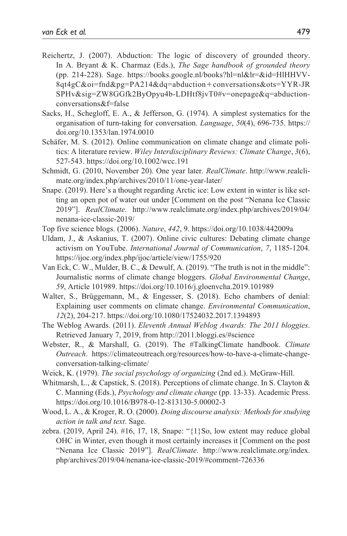- Reichertz, J. (2007). Abduction: The logic of discovery of grounded theory. In A. Bryant & K. Charmaz (Eds.), *The Sage handbook of grounded theory* (pp. 214-228). Sage. [https://books.google.nl/books?hl=nl&lr=&id=HlHHVV-](https://books.google.nl/books?hl=nl&lr=&id=HlHHVV8qt4gC&oi=fnd&pg=PA214&dq=abduction+conversations&ots=YYR-JRSPHv&sig=ZW8GGfk2ByOpyu4b-LDHtf8jvT0#v=onepage&q=abductionconversations&f=false)[8qt4gC&oi=fnd&pg=PA214&dq=abduction](https://books.google.nl/books?hl=nl&lr=&id=HlHHVV8qt4gC&oi=fnd&pg=PA214&dq=abduction+conversations&ots=YYR-JRSPHv&sig=ZW8GGfk2ByOpyu4b-LDHtf8jvT0#v=onepage&q=abductionconversations&f=false)+conversations&ots=YYR-JR [SPHv&sig=ZW8GGfk2ByOpyu4b-LDHtf8jvT0#v=onepage&q=abduction](https://books.google.nl/books?hl=nl&lr=&id=HlHHVV8qt4gC&oi=fnd&pg=PA214&dq=abduction+conversations&ots=YYR-JRSPHv&sig=ZW8GGfk2ByOpyu4b-LDHtf8jvT0#v=onepage&q=abductionconversations&f=false)[conversations&f=false](https://books.google.nl/books?hl=nl&lr=&id=HlHHVV8qt4gC&oi=fnd&pg=PA214&dq=abduction+conversations&ots=YYR-JRSPHv&sig=ZW8GGfk2ByOpyu4b-LDHtf8jvT0#v=onepage&q=abductionconversations&f=false)
- Sacks, H., Schegloff, E. A., & Jefferson, G. (1974). A simplest systematics for the organisation of turn-taking for conversation. *Language*, *50*(4), 696-735. [https://](https://doi.org/10.1353/lan.1974.0010) [doi.org/10.1353/lan.1974.0010](https://doi.org/10.1353/lan.1974.0010)
- Schäfer, M. S. (2012). Online communication on climate change and climate politics: A literature review. *Wiley Interdisciplinary Reviews: Climate Change*, *3*(6), 527-543. <https://doi.org/10.1002/wcc.191>
- Schmidt, G. (2010, November 20). One year later. *RealClimate*. [http://www.realcli](http://www.realclimate.org/index.php/archives/2010/11/one-year-later/)[mate.org/index.php/archives/2010/11/one-year-later/](http://www.realclimate.org/index.php/archives/2010/11/one-year-later/)
- Snape. (2019). Here's a thought regarding Arctic ice: Low extent in winter is like setting an open pot of water out under [Comment on the post "Nenana Ice Classic 2019"]. *RealClimate*. [http://www.realclimate.org/index.php/archives/2019/04/](http://www.realclimate.org/index.php/archives/2019/04/nenana-ice-classic-2019/) [nenana-ice-classic-2019/](http://www.realclimate.org/index.php/archives/2019/04/nenana-ice-classic-2019/)
- Top five science blogs. (2006). *Nature*, *442*, 9. <https://doi.org/10.1038/442009a>
- Uldam, J., & Askanius, T. (2007). Online civic cultures: Debating climate change activism on YouTube. *International Journal of Communication*, *7*, 1185-1204. <https://ijoc.org/index.php/ijoc/article/view/1755/920>
- Van Eck, C. W., Mulder, B. C., & Dewulf, A. (2019). "The truth is not in the middle": Journalistic norms of climate change bloggers. *Global Environmental Change*, *59*, Article 101989.<https://doi.org/10.1016/j.gloenvcha.2019.101989>
- Walter, S., Brüggemann, M., & Engesser, S. (2018). Echo chambers of denial: Explaining user comments on climate change. *Environmental Communication*, *12*(2), 204-217.<https://doi.org/10.1080/17524032.2017.1394893>
- The Weblog Awards. (2011). *Eleventh Annual Weblog Awards: The 2011 bloggies*. Retrieved January 7, 2019, from <http://2011.bloggi.es/#science>
- Webster, R., & Marshall, G. (2019). The #TalkingClimate handbook. *Climate Outreach*. [https://climateoutreach.org/resources/how-to-have-a-climate-change](https://climateoutreach.org/resources/how-to-have-a-climate-change-conversation-talking-climate/)[conversation-talking-climate/](https://climateoutreach.org/resources/how-to-have-a-climate-change-conversation-talking-climate/)
- Weick, K. (1979). *The social psychology of organizing* (2nd ed.). McGraw-Hill.
- Whitmarsh, L., & Capstick, S. (2018). Perceptions of climate change. In S. Clayton & C. Manning (Eds.), *Psychology and climate change* (pp. 13-33). Academic Press. <https://doi.org/10.1016/B978-0-12-813130-5.00002-3>
- Wood, L. A., & Kroger, R. O. (2000). *Doing discourse analysis: Methods for studying action in talk and text*. Sage.
- zebra. (2019, April 24). #16, 17, 18, Snape: "{1}So, low extent may reduce global OHC in Winter, even though it most certainly increases it [Comment on the post "Nenana Ice Classic 2019"]. *RealClimate*. [http://www.realclimate.org/index.](http://www.realclimate.org/index.php/archives/2019/04/nenana-ice-classic-2019/#comment-726336) [php/archives/2019/04/nenana-ice-classic-2019/#comment-726336](http://www.realclimate.org/index.php/archives/2019/04/nenana-ice-classic-2019/#comment-726336)